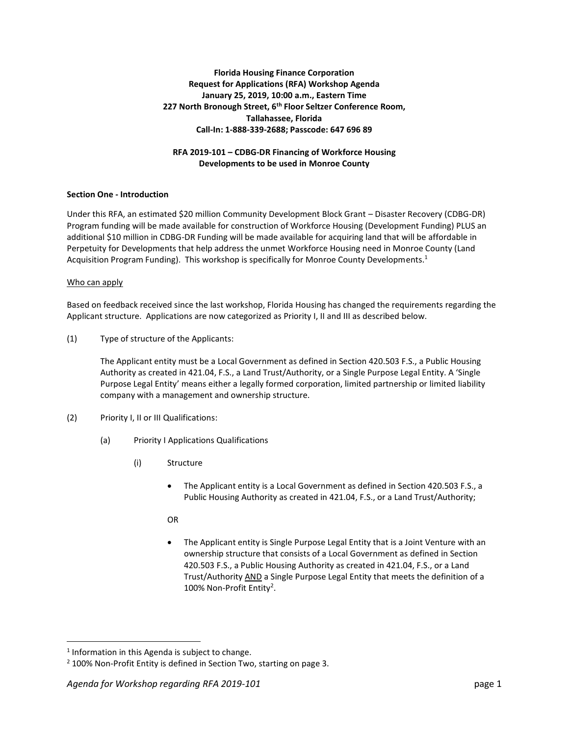# **Florida Housing Finance Corporation Request for Applications (RFA) Workshop Agenda January 25, 2019, 10:00 a.m., Eastern Time 227 North Bronough Street, 6th Floor Seltzer Conference Room, Tallahassee, Florida Call-In: 1-888-339-2688; Passcode: 647 696 89**

## **RFA 2019-101 – CDBG-DR Financing of Workforce Housing Developments to be used in Monroe County**

## **Section One - Introduction**

Under this RFA, an estimated \$20 million Community Development Block Grant – Disaster Recovery (CDBG-DR) Program funding will be made available for construction of Workforce Housing (Development Funding) PLUS an additional \$10 million in CDBG-DR Funding will be made available for acquiring land that will be affordable in Perpetuity for Developments that help address the unmet Workforce Housing need in Monroe County (Land Acquisition Program Funding). This workshop is specifically for Monroe County Developments.<sup>1</sup>

### Who can apply

Based on feedback received since the last workshop, Florida Housing has changed the requirements regarding the Applicant structure. Applications are now categorized as Priority I, II and III as described below.

(1) Type of structure of the Applicants:

The Applicant entity must be a Local Government as defined in Section 420.503 F.S., a Public Housing Authority as created in 421.04, F.S., a Land Trust/Authority, or a Single Purpose Legal Entity. A 'Single Purpose Legal Entity' means either a legally formed corporation, limited partnership or limited liability company with a management and ownership structure.

- (2) Priority I, II or III Qualifications:
	- (a) Priority I Applications Qualifications
		- (i) Structure
			- The Applicant entity is a Local Government as defined in Section 420.503 F.S., a Public Housing Authority as created in 421.04, F.S., or a Land Trust/Authority;
			- OR
			- The Applicant entity is Single Purpose Legal Entity that is a Joint Venture with an ownership structure that consists of a Local Government as defined in Section 420.503 F.S., a Public Housing Authority as created in 421.04, F.S., or a Land Trust/Authority AND a Single Purpose Legal Entity that meets the definition of a 100% Non-Profit Entity<sup>2</sup>.

 $\overline{\phantom{a}}$ 

 $<sup>1</sup>$  Information in this Agenda is subject to change.</sup>

<sup>&</sup>lt;sup>2</sup> 100% Non-Profit Entity is defined in Section Two, starting on page 3.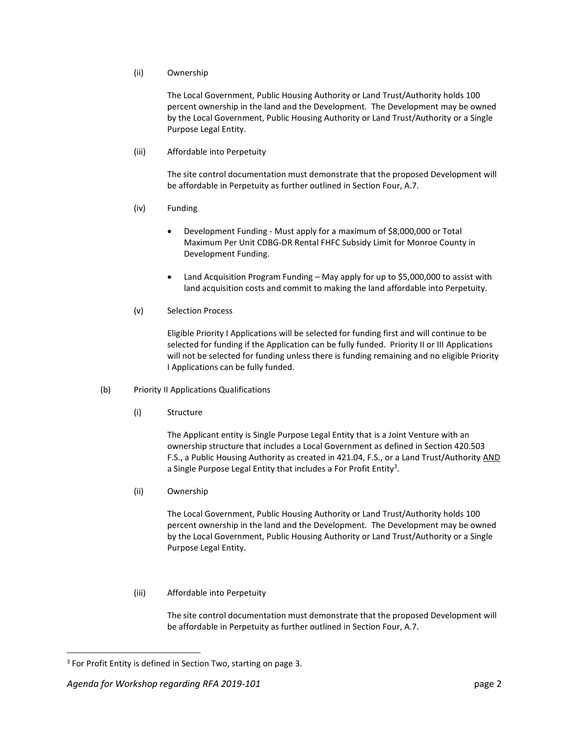### (ii) Ownership

The Local Government, Public Housing Authority or Land Trust/Authority holds 100 percent ownership in the land and the Development. The Development may be owned by the Local Government, Public Housing Authority or Land Trust/Authority or a Single Purpose Legal Entity.

(iii) Affordable into Perpetuity

The site control documentation must demonstrate that the proposed Development will be affordable in Perpetuity as further outlined in Section Four, A.7.

- (iv) Funding
	- Development Funding Must apply for a maximum of \$8,000,000 or Total Maximum Per Unit CDBG-DR Rental FHFC Subsidy Limit for Monroe County in Development Funding.
	- Land Acquisition Program Funding May apply for up to \$5,000,000 to assist with land acquisition costs and commit to making the land affordable into Perpetuity.
- (v) Selection Process

Eligible Priority I Applications will be selected for funding first and will continue to be selected for funding if the Application can be fully funded. Priority II or III Applications will not be selected for funding unless there is funding remaining and no eligible Priority I Applications can be fully funded.

- (b) Priority II Applications Qualifications
	- (i) Structure

The Applicant entity is Single Purpose Legal Entity that is a Joint Venture with an ownership structure that includes a Local Government as defined in Section 420.503 F.S., a Public Housing Authority as created in 421.04, F.S., or a Land Trust/Authority AND a Single Purpose Legal Entity that includes a For Profit Entity<sup>3</sup>.

(ii) Ownership

The Local Government, Public Housing Authority or Land Trust/Authority holds 100 percent ownership in the land and the Development. The Development may be owned by the Local Government, Public Housing Authority or Land Trust/Authority or a Single Purpose Legal Entity.

(iii) Affordable into Perpetuity

The site control documentation must demonstrate that the proposed Development will be affordable in Perpetuity as further outlined in Section Four, A.7.

 $\overline{\phantom{a}}$ 

<sup>&</sup>lt;sup>3</sup> For Profit Entity is defined in Section Two, starting on page 3.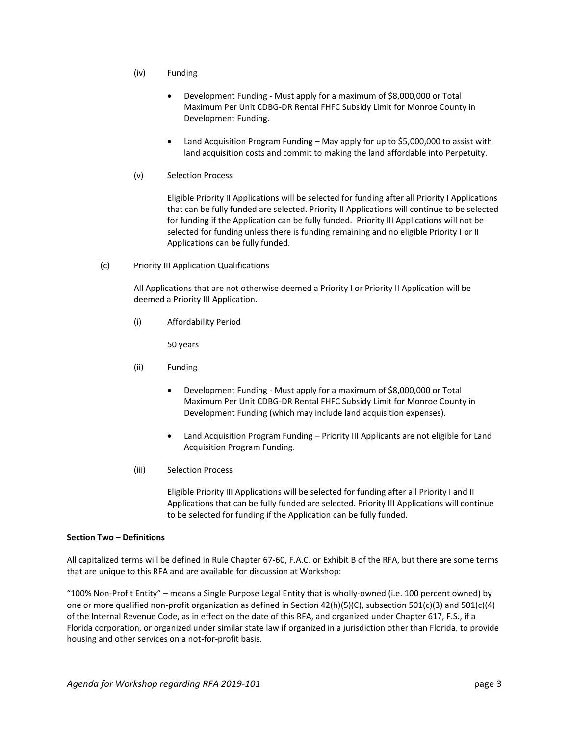- (iv) Funding
	- Development Funding Must apply for a maximum of \$8,000,000 or Total Maximum Per Unit CDBG-DR Rental FHFC Subsidy Limit for Monroe County in Development Funding.
	- Land Acquisition Program Funding May apply for up to \$5,000,000 to assist with land acquisition costs and commit to making the land affordable into Perpetuity.
- (v) Selection Process

Eligible Priority II Applications will be selected for funding after all Priority I Applications that can be fully funded are selected. Priority II Applications will continue to be selected for funding if the Application can be fully funded. Priority III Applications will not be selected for funding unless there is funding remaining and no eligible Priority I or II Applications can be fully funded.

(c) Priority III Application Qualifications

All Applications that are not otherwise deemed a Priority I or Priority II Application will be deemed a Priority III Application.

(i) Affordability Period

50 years

- (ii) Funding
	- Development Funding Must apply for a maximum of \$8,000,000 or Total Maximum Per Unit CDBG-DR Rental FHFC Subsidy Limit for Monroe County in Development Funding (which may include land acquisition expenses).
	- Land Acquisition Program Funding Priority III Applicants are not eligible for Land Acquisition Program Funding.
- (iii) Selection Process

Eligible Priority III Applications will be selected for funding after all Priority I and II Applications that can be fully funded are selected. Priority III Applications will continue to be selected for funding if the Application can be fully funded.

### **Section Two – Definitions**

All capitalized terms will be defined in Rule Chapter 67-60, F.A.C. or Exhibit B of the RFA, but there are some terms that are unique to this RFA and are available for discussion at Workshop:

"100% Non-Profit Entity" – means a Single Purpose Legal Entity that is wholly-owned (i.e. 100 percent owned) by one or more qualified non-profit organization as defined in Section 42(h)(5)(C), subsection 501(c)(3) and 501(c)(4) of the Internal Revenue Code, as in effect on the date of this RFA, and organized under Chapter 617, F.S., if a Florida corporation, or organized under similar state law if organized in a jurisdiction other than Florida, to provide housing and other services on a not-for-profit basis.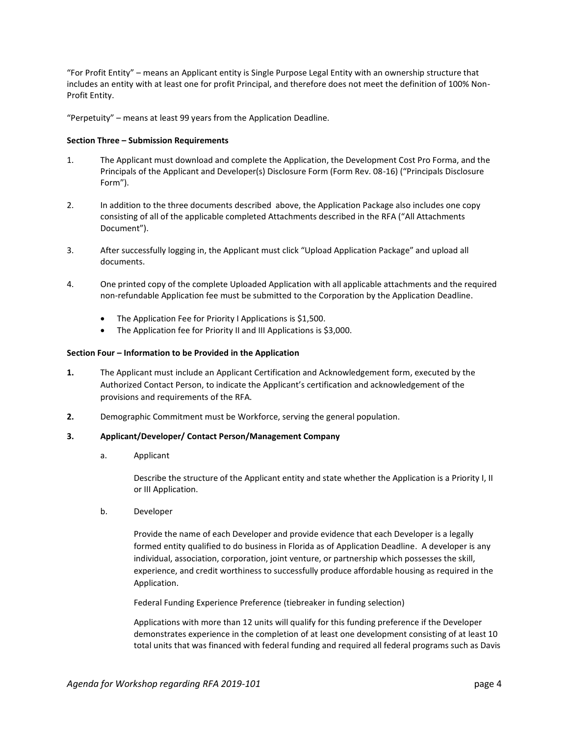"For Profit Entity" – means an Applicant entity is Single Purpose Legal Entity with an ownership structure that includes an entity with at least one for profit Principal, and therefore does not meet the definition of 100% Non-Profit Entity.

"Perpetuity" – means at least 99 years from the Application Deadline.

## **Section Three – Submission Requirements**

- 1. The Applicant must download and complete the Application, the Development Cost Pro Forma, and the Principals of the Applicant and Developer(s) Disclosure Form (Form Rev. 08-16) ("Principals Disclosure Form").
- 2. In addition to the three documents described above, the Application Package also includes one copy consisting of all of the applicable completed Attachments described in the RFA ("All Attachments Document").
- 3. After successfully logging in, the Applicant must click "Upload Application Package" and upload all documents.
- 4. One printed copy of the complete Uploaded Application with all applicable attachments and the required non-refundable Application fee must be submitted to the Corporation by the Application Deadline.
	- The Application Fee for Priority I Applications is \$1,500.
	- The Application fee for Priority II and III Applications is \$3,000.

### **Section Four – Information to be Provided in the Application**

- **1.** The Applicant must include an Applicant Certification and Acknowledgement form, executed by the Authorized Contact Person, to indicate the Applicant's certification and acknowledgement of the provisions and requirements of the RFA.
- **2.** Demographic Commitment must be Workforce, serving the general population.

### **3. Applicant/Developer/ Contact Person/Management Company**

a. Applicant

Describe the structure of the Applicant entity and state whether the Application is a Priority I, II or III Application.

b. Developer

Provide the name of each Developer and provide evidence that each Developer is a legally formed entity qualified to do business in Florida as of Application Deadline. A developer is any individual, association, corporation, joint venture, or partnership which possesses the skill, experience, and credit worthiness to successfully produce affordable housing as required in the Application.

Federal Funding Experience Preference (tiebreaker in funding selection)

Applications with more than 12 units will qualify for this funding preference if the Developer demonstrates experience in the completion of at least one development consisting of at least 10 total units that was financed with federal funding and required all federal programs such as Davis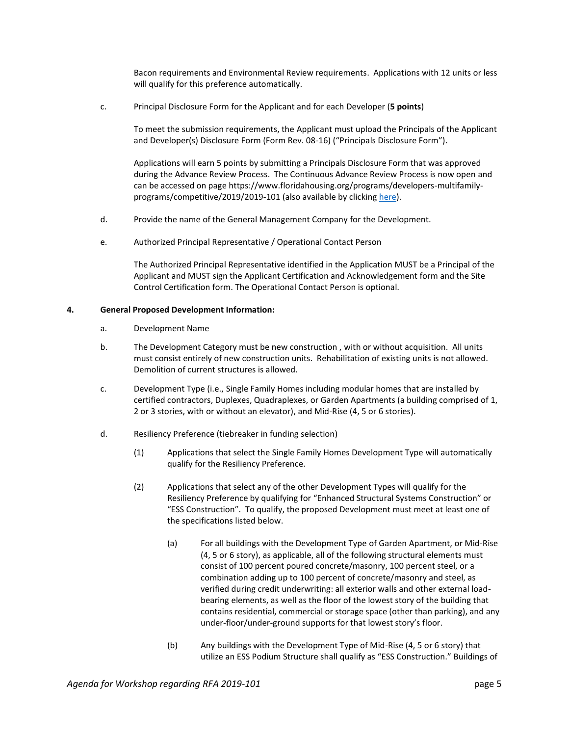Bacon requirements and Environmental Review requirements. Applications with 12 units or less will qualify for this preference automatically.

c. Principal Disclosure Form for the Applicant and for each Developer (**5 points**)

To meet the submission requirements, the Applicant must upload the Principals of the Applicant and Developer(s) Disclosure Form (Form Rev. 08-16) ("Principals Disclosure Form").

Applications will earn 5 points by submitting a Principals Disclosure Form that was approved during the Advance Review Process. The Continuous Advance Review Process is now open and can be accessed on page https://www.floridahousing.org/programs/developers-multifamilyprograms/competitive/2019/2019-101 (also available by clicking [here\)](https://www.floridahousing.org/programs/developers-multifamily-programs/competitive/2019/2019-101).

- d. Provide the name of the General Management Company for the Development.
- e. Authorized Principal Representative / Operational Contact Person

The Authorized Principal Representative identified in the Application MUST be a Principal of the Applicant and MUST sign the Applicant Certification and Acknowledgement form and the Site Control Certification form. The Operational Contact Person is optional.

## **4. General Proposed Development Information:**

- a. Development Name
- b. The Development Category must be new construction , with or without acquisition. All units must consist entirely of new construction units. Rehabilitation of existing units is not allowed. Demolition of current structures is allowed.
- c. Development Type (i.e., Single Family Homes including modular homes that are installed by certified contractors, Duplexes, Quadraplexes, or Garden Apartments (a building comprised of 1, 2 or 3 stories, with or without an elevator), and Mid-Rise (4, 5 or 6 stories).
- d. Resiliency Preference (tiebreaker in funding selection)
	- (1) Applications that select the Single Family Homes Development Type will automatically qualify for the Resiliency Preference.
	- (2) Applications that select any of the other Development Types will qualify for the Resiliency Preference by qualifying for "Enhanced Structural Systems Construction" or "ESS Construction". To qualify, the proposed Development must meet at least one of the specifications listed below.
		- (a) For all buildings with the Development Type of Garden Apartment, or Mid-Rise (4, 5 or 6 story), as applicable, all of the following structural elements must consist of 100 percent poured concrete/masonry, 100 percent steel, or a combination adding up to 100 percent of concrete/masonry and steel, as verified during credit underwriting: all exterior walls and other external loadbearing elements, as well as the floor of the lowest story of the building that contains residential, commercial or storage space (other than parking), and any under-floor/under-ground supports for that lowest story's floor.
		- (b) Any buildings with the Development Type of Mid-Rise (4, 5 or 6 story) that utilize an ESS Podium Structure shall qualify as "ESS Construction." Buildings of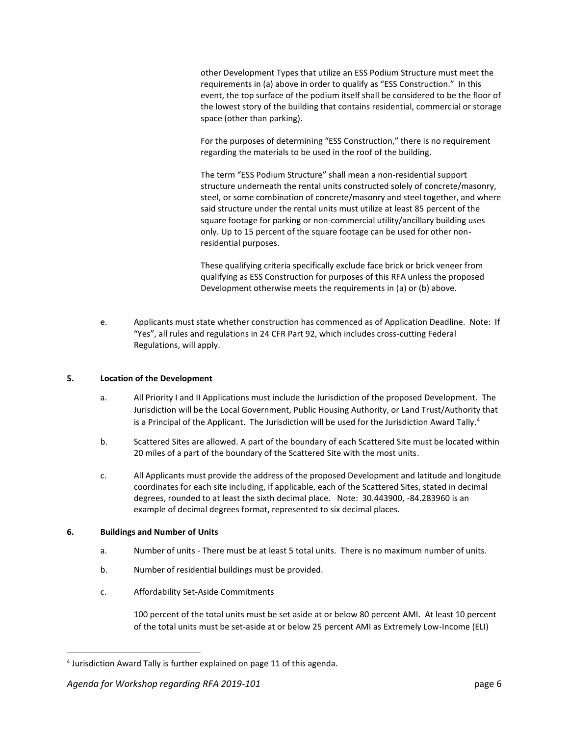other Development Types that utilize an ESS Podium Structure must meet the requirements in (a) above in order to qualify as "ESS Construction." In this event, the top surface of the podium itself shall be considered to be the floor of the lowest story of the building that contains residential, commercial or storage space (other than parking).

For the purposes of determining "ESS Construction," there is no requirement regarding the materials to be used in the roof of the building.

The term "ESS Podium Structure" shall mean a non-residential support structure underneath the rental units constructed solely of concrete/masonry, steel, or some combination of concrete/masonry and steel together, and where said structure under the rental units must utilize at least 85 percent of the square footage for parking or non-commercial utility/ancillary building uses only. Up to 15 percent of the square footage can be used for other nonresidential purposes.

These qualifying criteria specifically exclude face brick or brick veneer from qualifying as ESS Construction for purposes of this RFA unless the proposed Development otherwise meets the requirements in (a) or (b) above.

e. Applicants must state whether construction has commenced as of Application Deadline. Note: If "Yes", all rules and regulations in 24 CFR Part 92, which includes cross-cutting Federal Regulations, will apply.

## **5. Location of the Development**

- a. All Priority I and II Applications must include the Jurisdiction of the proposed Development. The Jurisdiction will be the Local Government, Public Housing Authority, or Land Trust/Authority that is a Principal of the Applicant. The Jurisdiction will be used for the Jurisdiction Award Tally.<sup>4</sup>
- b. Scattered Sites are allowed. A part of the boundary of each Scattered Site must be located within 20 miles of a part of the boundary of the Scattered Site with the most units.
- c. All Applicants must provide the address of the proposed Development and latitude and longitude coordinates for each site including, if applicable, each of the Scattered Sites, stated in decimal degrees, rounded to at least the sixth decimal place. Note: 30.443900, -84.283960 is an example of decimal degrees format, represented to six decimal places.

### **6. Buildings and Number of Units**

 $\overline{\phantom{a}}$ 

- a. Number of units There must be at least 5 total units. There is no maximum number of units.
- b. Number of residential buildings must be provided.
- c. Affordability Set-Aside Commitments

100 percent of the total units must be set aside at or below 80 percent AMI. At least 10 percent of the total units must be set-aside at or below 25 percent AMI as Extremely Low-Income (ELI)

<sup>&</sup>lt;sup>4</sup> Jurisdiction Award Tally is further explained on page 11 of this agenda.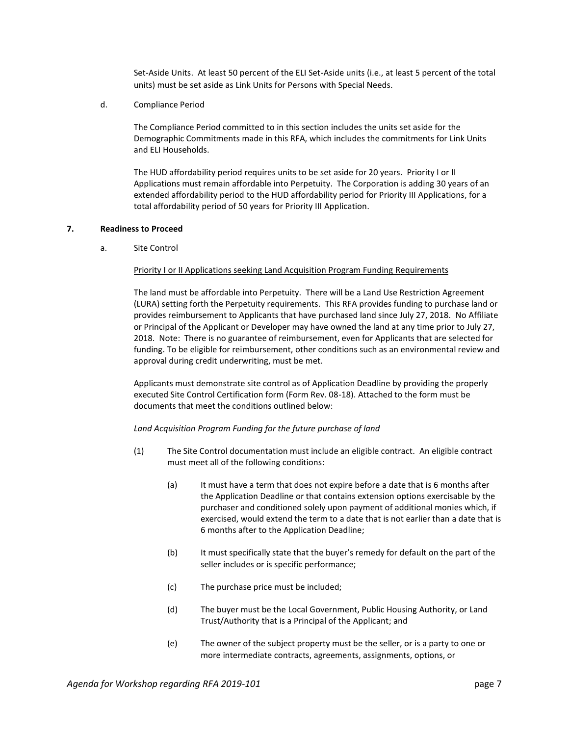Set-Aside Units. At least 50 percent of the ELI Set-Aside units (i.e., at least 5 percent of the total units) must be set aside as Link Units for Persons with Special Needs.

d. Compliance Period

The Compliance Period committed to in this section includes the units set aside for the Demographic Commitments made in this RFA, which includes the commitments for Link Units and ELI Households.

The HUD affordability period requires units to be set aside for 20 years. Priority I or II Applications must remain affordable into Perpetuity. The Corporation is adding 30 years of an extended affordability period to the HUD affordability period for Priority III Applications, for a total affordability period of 50 years for Priority III Application.

## **7. Readiness to Proceed**

a. Site Control

## **Priority I or II Applications seeking Land Acquisition Program Funding Requirements**

The land must be affordable into Perpetuity. There will be a Land Use Restriction Agreement (LURA) setting forth the Perpetuity requirements. This RFA provides funding to purchase land or provides reimbursement to Applicants that have purchased land since July 27, 2018. No Affiliate or Principal of the Applicant or Developer may have owned the land at any time prior to July 27, 2018. Note: There is no guarantee of reimbursement, even for Applicants that are selected for funding. To be eligible for reimbursement, other conditions such as an environmental review and approval during credit underwriting, must be met.

Applicants must demonstrate site control as of Application Deadline by providing the properly executed Site Control Certification form (Form Rev. 08-18). Attached to the form must be documents that meet the conditions outlined below:

### *Land Acquisition Program Funding for the future purchase of land*

- (1) The Site Control documentation must include an eligible contract. An eligible contract must meet all of the following conditions:
	- (a) It must have a term that does not expire before a date that is 6 months after the Application Deadline or that contains extension options exercisable by the purchaser and conditioned solely upon payment of additional monies which, if exercised, would extend the term to a date that is not earlier than a date that is 6 months after to the Application Deadline;
	- (b) It must specifically state that the buyer's remedy for default on the part of the seller includes or is specific performance;
	- (c) The purchase price must be included;
	- (d) The buyer must be the Local Government, Public Housing Authority, or Land Trust/Authority that is a Principal of the Applicant; and
	- (e) The owner of the subject property must be the seller, or is a party to one or more intermediate contracts, agreements, assignments, options, or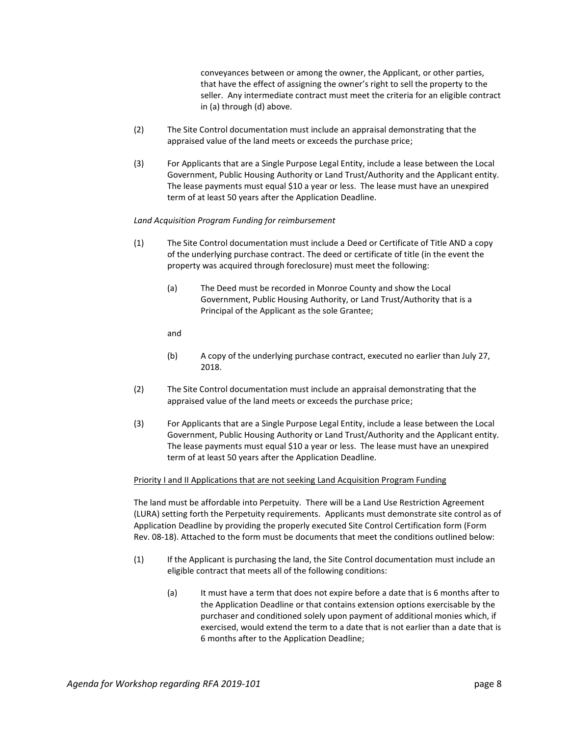conveyances between or among the owner, the Applicant, or other parties, that have the effect of assigning the owner's right to sell the property to the seller. Any intermediate contract must meet the criteria for an eligible contract in (a) through (d) above.

- (2) The Site Control documentation must include an appraisal demonstrating that the appraised value of the land meets or exceeds the purchase price;
- (3) For Applicants that are a Single Purpose Legal Entity, include a lease between the Local Government, Public Housing Authority or Land Trust/Authority and the Applicant entity. The lease payments must equal \$10 a year or less. The lease must have an unexpired term of at least 50 years after the Application Deadline.

## *Land Acquisition Program Funding for reimbursement*

- (1) The Site Control documentation must include a Deed or Certificate of Title AND a copy of the underlying purchase contract. The deed or certificate of title (in the event the property was acquired through foreclosure) must meet the following:
	- (a) The Deed must be recorded in Monroe County and show the Local Government, Public Housing Authority, or Land Trust/Authority that is a Principal of the Applicant as the sole Grantee;

and

- (b) A copy of the underlying purchase contract, executed no earlier than July 27, 2018.
- (2) The Site Control documentation must include an appraisal demonstrating that the appraised value of the land meets or exceeds the purchase price;
- (3) For Applicants that are a Single Purpose Legal Entity, include a lease between the Local Government, Public Housing Authority or Land Trust/Authority and the Applicant entity. The lease payments must equal \$10 a year or less. The lease must have an unexpired term of at least 50 years after the Application Deadline.

### Priority I and II Applications that are not seeking Land Acquisition Program Funding

The land must be affordable into Perpetuity. There will be a Land Use Restriction Agreement (LURA) setting forth the Perpetuity requirements. Applicants must demonstrate site control as of Application Deadline by providing the properly executed Site Control Certification form (Form Rev. 08-18). Attached to the form must be documents that meet the conditions outlined below:

- (1) If the Applicant is purchasing the land, the Site Control documentation must include an eligible contract that meets all of the following conditions:
	- (a) It must have a term that does not expire before a date that is 6 months after to the Application Deadline or that contains extension options exercisable by the purchaser and conditioned solely upon payment of additional monies which, if exercised, would extend the term to a date that is not earlier than a date that is 6 months after to the Application Deadline;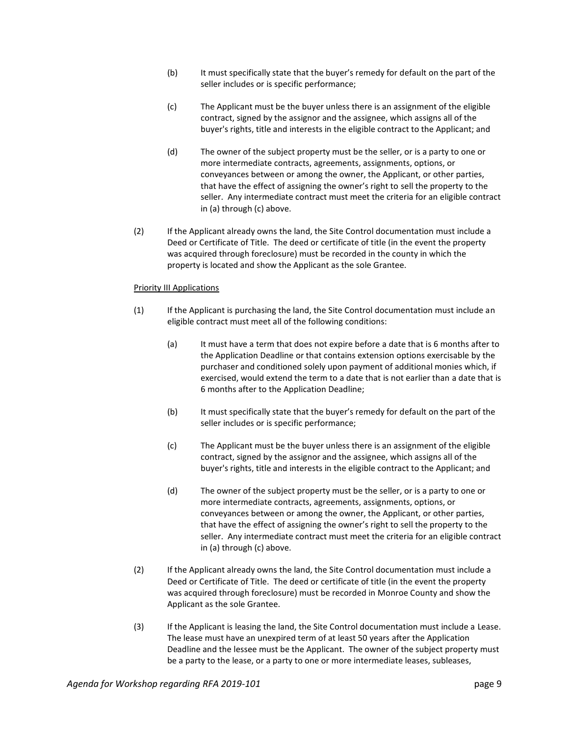- (b) It must specifically state that the buyer's remedy for default on the part of the seller includes or is specific performance;
- (c) The Applicant must be the buyer unless there is an assignment of the eligible contract, signed by the assignor and the assignee, which assigns all of the buyer's rights, title and interests in the eligible contract to the Applicant; and
- (d) The owner of the subject property must be the seller, or is a party to one or more intermediate contracts, agreements, assignments, options, or conveyances between or among the owner, the Applicant, or other parties, that have the effect of assigning the owner's right to sell the property to the seller. Any intermediate contract must meet the criteria for an eligible contract in (a) through (c) above.
- (2) If the Applicant already owns the land, the Site Control documentation must include a Deed or Certificate of Title. The deed or certificate of title (in the event the property was acquired through foreclosure) must be recorded in the county in which the property is located and show the Applicant as the sole Grantee.

## Priority III Applications

- (1) If the Applicant is purchasing the land, the Site Control documentation must include an eligible contract must meet all of the following conditions:
	- (a) It must have a term that does not expire before a date that is 6 months after to the Application Deadline or that contains extension options exercisable by the purchaser and conditioned solely upon payment of additional monies which, if exercised, would extend the term to a date that is not earlier than a date that is 6 months after to the Application Deadline;
	- (b) It must specifically state that the buyer's remedy for default on the part of the seller includes or is specific performance;
	- (c) The Applicant must be the buyer unless there is an assignment of the eligible contract, signed by the assignor and the assignee, which assigns all of the buyer's rights, title and interests in the eligible contract to the Applicant; and
	- (d) The owner of the subject property must be the seller, or is a party to one or more intermediate contracts, agreements, assignments, options, or conveyances between or among the owner, the Applicant, or other parties, that have the effect of assigning the owner's right to sell the property to the seller. Any intermediate contract must meet the criteria for an eligible contract in (a) through (c) above.
- (2) If the Applicant already owns the land, the Site Control documentation must include a Deed or Certificate of Title. The deed or certificate of title (in the event the property was acquired through foreclosure) must be recorded in Monroe County and show the Applicant as the sole Grantee.
- (3) If the Applicant is leasing the land, the Site Control documentation must include a Lease. The lease must have an unexpired term of at least 50 years after the Application Deadline and the lessee must be the Applicant. The owner of the subject property must be a party to the lease, or a party to one or more intermediate leases, subleases,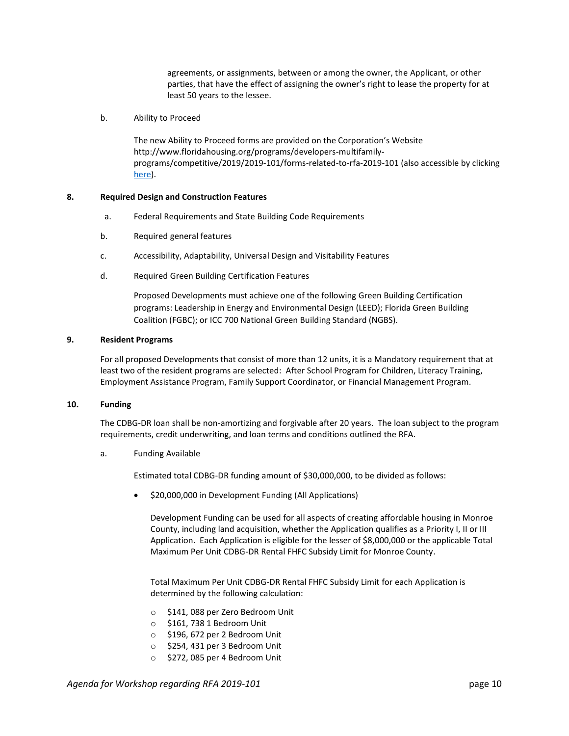agreements, or assignments, between or among the owner, the Applicant, or other parties, that have the effect of assigning the owner's right to lease the property for at least 50 years to the lessee.

b. Ability to Proceed

The new Ability to Proceed forms are provided on the Corporation's Website http://www.floridahousing.org/programs/developers-multifamilyprograms/competitive/2019/2019-101/forms-related-to-rfa-2019-101 (also accessible by clicking [here\)](http://www.floridahousing.org/programs/developers-multifamily-programs/competitive/2019/2019-101/forms-related-to-rfa-2019-101).

## **8. Required Design and Construction Features**

- a. Federal Requirements and State Building Code Requirements
- b. Required general features
- c. Accessibility, Adaptability, Universal Design and Visitability Features
- d. Required Green Building Certification Features

Proposed Developments must achieve one of the following Green Building Certification programs: Leadership in Energy and Environmental Design (LEED); Florida Green Building Coalition (FGBC); or ICC 700 National Green Building Standard (NGBS).

### **9. Resident Programs**

For all proposed Developments that consist of more than 12 units, it is a Mandatory requirement that at least two of the resident programs are selected: After School Program for Children, Literacy Training, Employment Assistance Program, Family Support Coordinator, or Financial Management Program.

### **10. Funding**

The CDBG-DR loan shall be non-amortizing and forgivable after 20 years. The loan subject to the program requirements, credit underwriting, and loan terms and conditions outlined the RFA.

a. Funding Available

Estimated total CDBG-DR funding amount of \$30,000,000, to be divided as follows:

• \$20,000,000 in Development Funding (All Applications)

Development Funding can be used for all aspects of creating affordable housing in Monroe County, including land acquisition, whether the Application qualifies as a Priority I, II or III Application. Each Application is eligible for the lesser of \$8,000,000 or the applicable Total Maximum Per Unit CDBG-DR Rental FHFC Subsidy Limit for Monroe County.

Total Maximum Per Unit CDBG-DR Rental FHFC Subsidy Limit for each Application is determined by the following calculation:

- o \$141, 088 per Zero Bedroom Unit
- o \$161, 738 1 Bedroom Unit
- o \$196, 672 per 2 Bedroom Unit
- o \$254, 431 per 3 Bedroom Unit
- o \$272, 085 per 4 Bedroom Unit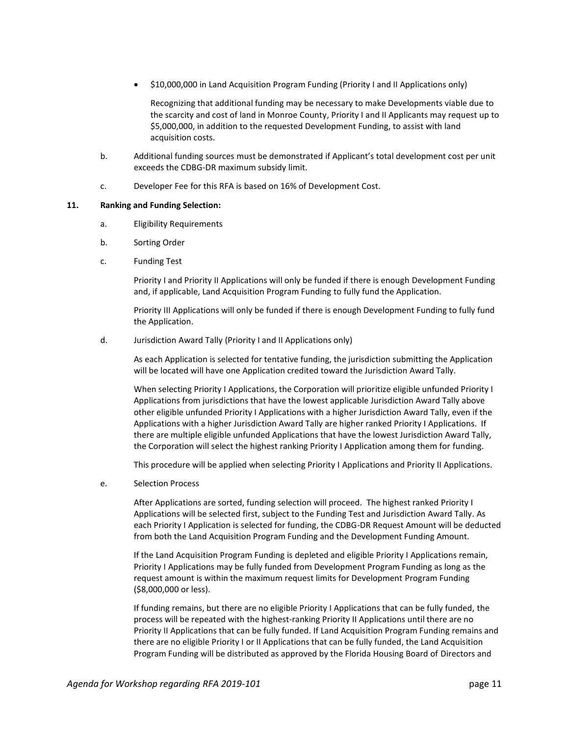• \$10,000,000 in Land Acquisition Program Funding (Priority I and II Applications only)

Recognizing that additional funding may be necessary to make Developments viable due to the scarcity and cost of land in Monroe County, Priority I and II Applicants may request up to \$5,000,000, in addition to the requested Development Funding, to assist with land acquisition costs.

- b. Additional funding sources must be demonstrated if Applicant's total development cost per unit exceeds the CDBG-DR maximum subsidy limit.
- c. Developer Fee for this RFA is based on 16% of Development Cost.

### **11. Ranking and Funding Selection:**

- a. Eligibility Requirements
- b. Sorting Order
- c. Funding Test

Priority I and Priority II Applications will only be funded if there is enough Development Funding and, if applicable, Land Acquisition Program Funding to fully fund the Application.

Priority III Applications will only be funded if there is enough Development Funding to fully fund the Application.

d. Jurisdiction Award Tally (Priority I and II Applications only)

As each Application is selected for tentative funding, the jurisdiction submitting the Application will be located will have one Application credited toward the Jurisdiction Award Tally.

When selecting Priority I Applications, the Corporation will prioritize eligible unfunded Priority I Applications from jurisdictions that have the lowest applicable Jurisdiction Award Tally above other eligible unfunded Priority I Applications with a higher Jurisdiction Award Tally, even if the Applications with a higher Jurisdiction Award Tally are higher ranked Priority I Applications. If there are multiple eligible unfunded Applications that have the lowest Jurisdiction Award Tally, the Corporation will select the highest ranking Priority I Application among them for funding.

This procedure will be applied when selecting Priority I Applications and Priority II Applications.

e. Selection Process

After Applications are sorted, funding selection will proceed. The highest ranked Priority I Applications will be selected first, subject to the Funding Test and Jurisdiction Award Tally. As each Priority I Application is selected for funding, the CDBG-DR Request Amount will be deducted from both the Land Acquisition Program Funding and the Development Funding Amount.

If the Land Acquisition Program Funding is depleted and eligible Priority I Applications remain, Priority I Applications may be fully funded from Development Program Funding as long as the request amount is within the maximum request limits for Development Program Funding (\$8,000,000 or less).

If funding remains, but there are no eligible Priority I Applications that can be fully funded, the process will be repeated with the highest-ranking Priority II Applications until there are no Priority II Applications that can be fully funded. If Land Acquisition Program Funding remains and there are no eligible Priority I or II Applications that can be fully funded, the Land Acquisition Program Funding will be distributed as approved by the Florida Housing Board of Directors and